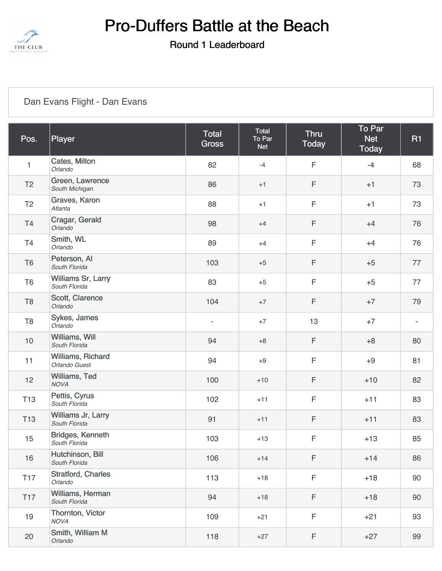

#### Round 1 Leaderboard

### [Dan Evans Flight - Dan Evans](https://static.golfgenius.com/v2tournaments/8462730325645071092?called_from=&round_index=1)

| Pos.           | Player                              | <b>Total</b><br><b>Gross</b> | Total<br>To Par<br><b>Net</b> | <b>Thru</b><br><b>Today</b> | To Par<br><b>Net</b><br><b>Today</b> | <b>R1</b> |
|----------------|-------------------------------------|------------------------------|-------------------------------|-----------------------------|--------------------------------------|-----------|
| $\mathbf{1}$   | Cates, Milton<br>Orlando            | 82                           | $-4$                          | F                           | $-4$                                 | 68        |
| T <sub>2</sub> | Green, Lawrence<br>South Michigan   | 86                           | $+1$                          | F                           | $+1$                                 | 73        |
| T <sub>2</sub> | Graves, Karon<br>Atlanta            | 88                           | $+1$                          | F                           | $+1$                                 | 73        |
| T4             | Cragar, Gerald<br>Orlando           | 98                           | $+4$                          | F                           | $+4$                                 | 76        |
| T4             | Smith, WL<br>Orlando                | 89                           | $+4$                          | F                           | $+4$                                 | 76        |
| T <sub>6</sub> | Peterson, Al<br>South Florida       | 103                          | $+5$                          | F                           | $+5$                                 | 77        |
| T <sub>6</sub> | Williams Sr, Larry<br>South Florida | 83                           | $+5$                          | F                           | $+5$                                 | 77        |
| T <sub>8</sub> | Scott, Clarence<br>Orlando          | 104                          | $+7$                          | F                           | $+7$                                 | 79        |
| T <sub>8</sub> | Sykes, James<br>Orlando             | $\overline{\phantom{a}}$     | $+7$                          | 13                          | $+7$                                 |           |
| $10$           | Williams, Will<br>South Florida     | 94                           | $+8$                          | F                           | $+8$                                 | 80        |
| 11             | Williams, Richard<br>Orlando Guest  | 94                           | $+9$                          | F                           | $+9$                                 | 81        |
| 12             | Williams, Ted<br><b>NOVA</b>        | 100                          | $+10$                         | F                           | $+10$                                | 82        |
| <b>T13</b>     | Pettis, Cyrus<br>South Florida      | 102                          | $+11$                         | F                           | $+11$                                | 83        |
| <b>T13</b>     | Williams Jr, Larry<br>South Florida | 91                           | $+11$                         | F                           | $+11$                                | 83        |
| 15             | Bridges, Kenneth<br>South Florida   | 103                          | $+13$                         | F                           | $+13$                                | 85        |
| 16             | Hutchinson, Bill<br>South Florida   | 106                          | $+14$                         | F                           | $+14$                                | 86        |
| <b>T17</b>     | Stratford, Charles<br>Orlando       | 113                          | $+18$                         | F                           | $+18$                                | 90        |
| <b>T17</b>     | Williams, Herman<br>South Florida   | 94                           | $+18$                         | F                           | $+18$                                | 90        |
| 19             | Thornton, Victor<br><b>NOVA</b>     | 109                          | $+21$                         | F                           | $+21$                                | 93        |
| 20             | Smith, William M<br>Orlando         | 118                          | $+27$                         | F                           | $+27$                                | 99        |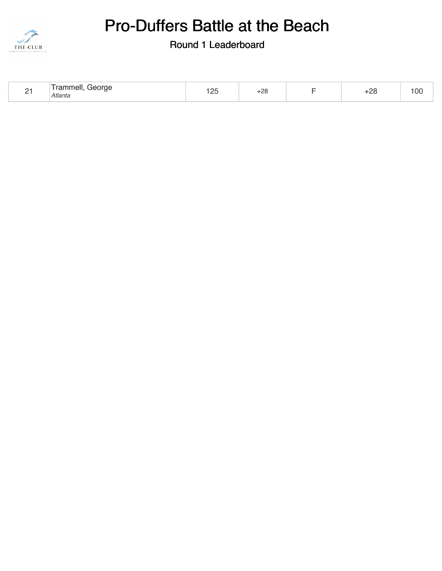

| ٦.<br>$\overline{\phantom{0}}$ | Trammell.<br>George<br>Atlanta | .05 | $\sim$<br>+∠o |  | റാ<br>. <u>.</u> | $\Omega$<br>v |
|--------------------------------|--------------------------------|-----|---------------|--|------------------|---------------|
|--------------------------------|--------------------------------|-----|---------------|--|------------------|---------------|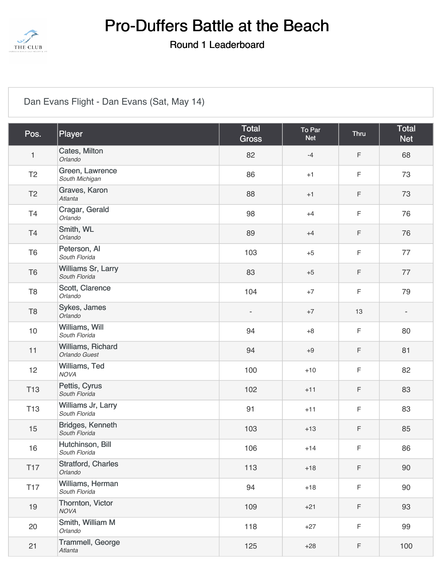

#### Round 1 Leaderboard

### [Dan Evans Flight - Dan Evans \(Sat, May 14\)](https://static.golfgenius.com/v2tournaments/8462730331080889077?called_from=&round_index=1)

| Pos.            | Player                              | <b>Total</b><br><b>Gross</b> | To Par<br><b>Net</b> | <b>Thru</b> | <b>Total</b><br><b>Net</b> |
|-----------------|-------------------------------------|------------------------------|----------------------|-------------|----------------------------|
| $\mathbf{1}$    | Cates, Milton<br>Orlando            | 82                           | $-4$                 | $\mathsf F$ | 68                         |
| T <sub>2</sub>  | Green, Lawrence<br>South Michigan   | 86                           | $+1$                 | $\mathsf F$ | 73                         |
| T <sub>2</sub>  | Graves, Karon<br>Atlanta            | 88                           | $+1$                 | $\mathsf F$ | 73                         |
| T4              | Cragar, Gerald<br>Orlando           | 98                           | $+4$                 | $\mathsf F$ | 76                         |
| <b>T4</b>       | Smith, WL<br>Orlando                | 89                           | $+4$                 | $\mathsf F$ | 76                         |
| T <sub>6</sub>  | Peterson, Al<br>South Florida       | 103                          | $+5$                 | $\mathsf F$ | 77                         |
| T <sub>6</sub>  | Williams Sr, Larry<br>South Florida | 83                           | $+5$                 | $\mathsf F$ | 77                         |
| T <sub>8</sub>  | Scott, Clarence<br>Orlando          | 104                          | $+7$                 | $\mathsf F$ | 79                         |
| T <sub>8</sub>  | Sykes, James<br>Orlando             | $\overline{\phantom{0}}$     | $+7$                 | 13          | $\overline{\phantom{a}}$   |
| 10              | Williams, Will<br>South Florida     | 94                           | $+8$                 | $\mathsf F$ | 80                         |
| 11              | Williams, Richard<br>Orlando Guest  | 94                           | $+9$                 | $\mathsf F$ | 81                         |
| 12              | Williams, Ted<br><b>NOVA</b>        | 100                          | $+10$                | $\mathsf F$ | 82                         |
| <b>T13</b>      | Pettis, Cyrus<br>South Florida      | 102                          | $+11$                | $\mathsf F$ | 83                         |
| <b>T13</b>      | Williams Jr, Larry<br>South Florida | 91                           | $+11$                | $\mathsf F$ | 83                         |
| 15              | Bridges, Kenneth<br>South Florida   | 103                          | $+13$                | $\mathsf F$ | 85                         |
| 16              | Hutchinson, Bill<br>South Florida   | 106                          | $+14$                | $\mathsf F$ | 86                         |
| T <sub>17</sub> | Stratford, Charles<br>Orlando       | 113                          | $+18$                | $\mathsf F$ | 90                         |
| <b>T17</b>      | Williams, Herman<br>South Florida   | 94                           | $+18$                | $\mathsf F$ | 90                         |
| 19              | Thornton, Victor<br><b>NOVA</b>     | 109                          | $+21$                | F           | 93                         |
| 20              | Smith, William M<br>Orlando         | 118                          | $+27$                | $\mathsf F$ | 99                         |
| 21              | Trammell, George<br>Atlanta         | 125                          | $+28$                | F           | 100                        |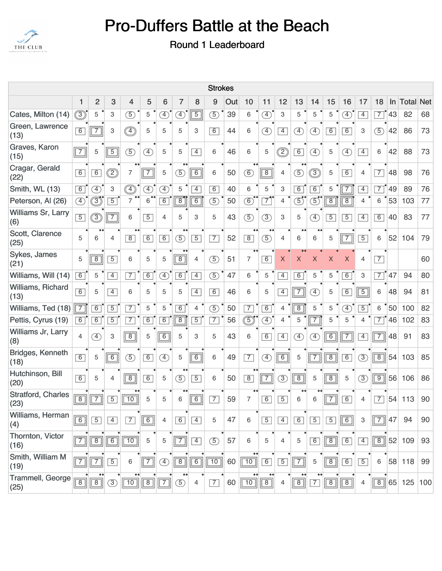

| <b>Strokes</b>                                                                                                                                   |                |                |                           |                 |                |                              |                |                |                 |    |                                    |                |                |                              |                |                |                              |                |                |    |        |     |
|--------------------------------------------------------------------------------------------------------------------------------------------------|----------------|----------------|---------------------------|-----------------|----------------|------------------------------|----------------|----------------|-----------------|----|------------------------------------|----------------|----------------|------------------------------|----------------|----------------|------------------------------|----------------|----------------|----|--------|-----|
| $\overline{c}$<br>3<br>7<br>9<br>13<br>5<br>6<br>Out<br>10<br>11<br>12<br>15<br>16<br>18<br><b>Net</b><br>1<br>8<br>14<br>17<br>Total<br>4<br>In |                |                |                           |                 |                |                              |                |                |                 |    |                                    |                |                |                              |                |                |                              |                |                |    |        |     |
| Cates, Milton (14)                                                                                                                               | ◉              | 5              | 3                         | $\circled{5}$   | 5              | Œ                            | $\bigoplus$    | $\overline{5}$ | $\circledS$     | 39 | 6                                  | $\circledA$    | 3              | 5                            | 5              | 5              | $\left( \overline{4}\right)$ | $\overline{4}$ | $\overline{7}$ | 43 | 82     | 68  |
| Green, Lawrence<br>(13)                                                                                                                          | 6              | $\overline{7}$ | $\ensuremath{\mathsf{3}}$ |                 | 5              | 5                            | 5              | 3              | 6               | 44 | 6                                  | $\mathcal{F}$  | $\boxed{4}$    | $\left( \overline{4}\right)$ | $\circled{4}$  | 6              | 6                            | 3              | (5)            | 42 | 86     | 73  |
| Graves, Karon<br>(15)                                                                                                                            | $\boxed{7}$    | 5              | $\overline{5}$            | $\circled{5}$   | $\circled{4}$  | 5                            | 5              | $\overline{4}$ | 6               | 46 | 6                                  | 5              | C              | 6                            | $\circled{4}$  | $\mathbf 5$    | $\circled{4}$                | $\boxed{4}$    | 6              | 42 | 88     | 73  |
| Cragar, Gerald<br>(22)                                                                                                                           | 6              | 6              | ②                         | $\overline{7}$  | $\overline{7}$ | 5                            | $\circled{5}$  | $\boxed{6}$    | 6               | 50 | $\bullet\bullet$<br>$\circledS$    | $\boxed{8}$    | $\overline{4}$ | $\circled{5}$                | $\circledS$    | 5              | 6                            | $\overline{4}$ | $\overline{7}$ | 48 | 98     | 76  |
| Smith, WL (13)                                                                                                                                   | 6              | $\circled{4}$  | $\ensuremath{\mathsf{3}}$ |                 | $\bigoplus$    | $\left( \overline{4}\right)$ | 5              | $\overline{4}$ | 6               | 40 | 6                                  | 5              | 3              | 6                            | 6              | 5              | $\overline{\mathsf{T}^7}$    | $\overline{4}$ | $\overline{7}$ | 49 | 89     | 76  |
| Peterson, Al (26)                                                                                                                                | ④              | 3)             | $\overline{5}$            | $\overline{7}$  | $\overline{6}$ | 6                            | $\overline{8}$ | 6              | $\circled{5}$   | 50 | $\circledS$                        | $\overline{7}$ | $\overline{4}$ | $\textcircled{\small{5}}$    | $\mathcal{F}$  | $\overline{8}$ | $\overline{8}$               | $\overline{4}$ | 6              | 53 | 103    | 77  |
| Williams Sr, Larry<br>(6)                                                                                                                        | $\boxed{5}$    | ③              | $\overline{7}$            | 6               | $\overline{5}$ | 4                            | 5              | 3              | 5               | 43 | (5)                                | (3)            | $\mathbf{3}$   | 5                            | $\circledA$    | $\sqrt{5}$     | $\overline{5}$               | $\overline{4}$ | 6              | 40 | 83     | 77  |
| Scott, Clarence<br>(25)                                                                                                                          | 5              | 6              | 4                         | $\overline{8}$  | 6              | 6                            | $\circledS$    | $\overline{5}$ | $\overline{7}$  | 52 | $\overline{8}$                     | $\circled{5}$  | 4              | 6                            | 6              | 5              | $\boxed{7}$                  | $\overline{5}$ | 6              | 52 | 104    | 79  |
| Sykes, James<br>(21)                                                                                                                             | 5              | $\overline{8}$ | $\overline{5}$            | 6               | 5              | 5                            | $\sqrt{8}$     | 4              | $\circled{5}$   | 51 | $\bullet\bullet$<br>$\overline{7}$ | 6              | X              | X                            | X              | X              | Χ                            | 4              | $\overline{7}$ |    |        | 60  |
| Williams, Will (14)                                                                                                                              | 6              | 5              | $\overline{4}$            | $\overline{7}$  | 6              | $\bigcirc$                   | $\overline{6}$ | $\overline{4}$ | $\circled{5}$   | 47 | 6                                  | 5              | $\overline{4}$ | $\overline{6}$               | 5              | 5              | 6                            | 3              | $\overline{7}$ | 47 | 94     | 80  |
| Williams, Richard<br>(13)                                                                                                                        | 6              | 5              | $\overline{4}$            | 6               | 5              | 5                            | 5              | $\overline{4}$ | 6               | 46 | 6                                  | 5              | $\boxed{4}$    | $\overline{7}$               | $\circled{4}$  | 5              | 6                            | $\overline{5}$ | 6              | 48 | 94     | 81  |
| Williams, Ted (18)                                                                                                                               | $\sqrt{7}$     | 6              | $\overline{5}$            | $\overline{7}$  | 5              | 5                            | $\overline{6}$ | $\overline{4}$ | $\overline{5}$  | 50 | $\overline{7}$                     | $\overline{6}$ | $\overline{4}$ | $\overline{8}$               | 5              | 5              | $\left( \overline{4}\right)$ | $\overline{5}$ | 6              | 50 | 100    | 82  |
| Pettis, Cyrus (19)                                                                                                                               | $\overline{6}$ | $\overline{6}$ | $\overline{5}$            | $\overline{7}$  | $\overline{6}$ | $\overline{6}$               | $\overline{8}$ | $\overline{5}$ | $\overline{7}$  | 56 | گ.                                 | <sup>4</sup>   | 4              | 5                            | $\overline{7}$ | 5              | 5                            | $\overline{4}$ | $\overline{7}$ | 46 | 102    | 83  |
| Williams Jr, Larry<br>(8)                                                                                                                        | $\overline{4}$ | $\circled{4}$  | 3                         | $\overline{8}$  | 5              | $\overline{6}$               | 5              | 3              | 5               | 43 | 6                                  | 6              | $\boxed{4}$    | $\left( \overline{4}\right)$ | $\circled{4}$  | $\overline{6}$ | $\overline{7}$               | $\overline{4}$ | $\overline{7}$ | 48 | 91     | 83  |
| Bridges, Kenneth<br>(18)                                                                                                                         | 6              | 5              | $\overline{6}$            | $\circled{5}$   | 6              | $\left( \overline{4}\right)$ | 5              | $\overline{6}$ | 6               | 49 | $\overline{7}$                     | $\circled{4}$  | $\overline{6}$ | $\sqrt{5}$                   | $\overline{7}$ | $\overline{8}$ | 6                            | (3)            | $\overline{8}$ |    | 54 103 | 85  |
| Hutchinson, Bill<br>(20)                                                                                                                         | $\boxed{6}$    | 5              | $\overline{4}$            | $\boxed{8}$     | 6              | 5                            | $\circled{5}$  | $\overline{5}$ | 6               | 50 | $\boxed{8}$                        | $\boxed{7}$    | $\circled{3}$  | $\boxed{8}$                  | 5              | $\sqrt{8}$     | 5                            | $\circled{3}$  | $\sqrt{9}$     |    | 56 106 | 86  |
| <b>Stratford, Charles</b><br>(23)                                                                                                                | $\overline{8}$ | $\overline{7}$ | $\overline{5}$            | 10              | 5              | 5                            | 6              | $\overline{6}$ | $\overline{7}$  | 59 | $\bullet$<br>$\overline{7}$        | 6              | $\boxed{5}$    | 6                            | 6              | $\overline{7}$ | 6                            | $\overline{4}$ | $\overline{7}$ |    | 54 113 | 90  |
| Williams, Herman<br>(4)                                                                                                                          | $\boxed{6}$    | $\overline{5}$ | $\overline{4}$            | $\overline{7}$  | $\boxed{6}$    | $\overline{4}$               | 6              | $\overline{4}$ | 5               | 47 | 6                                  | $\overline{5}$ | $\boxed{4}$    | $\boxed{6}$                  | $\overline{5}$ | $\boxed{5}$    | $\boxed{6}$                  | 3              | $\overline{7}$ | 47 | 94     | 90  |
| Thornton, Victor<br>(16)                                                                                                                         | $\boxed{7}$    | $\overline{8}$ | $\boxed{6}$               | $\overline{10}$ | 5              | 5                            | $\sqrt{7}$     | $\overline{4}$ | $\circled{5}$   | 57 | 6                                  | 5              | 4              | 5                            | 6              | $\boxed{8}$    | 6                            | $\boxed{4}$    | $\boxed{8}$    |    | 52 109 | 93  |
| Smith, William M<br>(19)                                                                                                                         | $\overline{7}$ | $\overline{7}$ | $\overline{5}$            | 6               | $\boxed{7}$    | $\circled{4}$                | $\boxed{8}$    | $\overline{6}$ | $\overline{10}$ | 60 | $\bullet\bullet$<br>$\boxed{10}$   | 6              | $\boxed{5}$    | $\overline{7}$               | 5              | $\boxed{8}$    | 6                            | $\boxed{5}$    | 6              |    | 58 118 | 99  |
| Trammell, George<br>(25)                                                                                                                         | $\boxed{8}$    | $\sqrt{8}$     | $\circled{3}$             | $\boxed{10}$    | $\boxed{8}$    | $\overline{7}$               | $\circled{5}$  | $\overline{4}$ | $\overline{7}$  | 60 | $\boxed{10}$                       | $\boxed{8}$    | 4              | $\overline{8}$               | $\overline{7}$ | $\boxed{8}$    | $\sqrt{8}$                   | $\overline{4}$ | $\boxed{8}$    |    | 65 125 | 100 |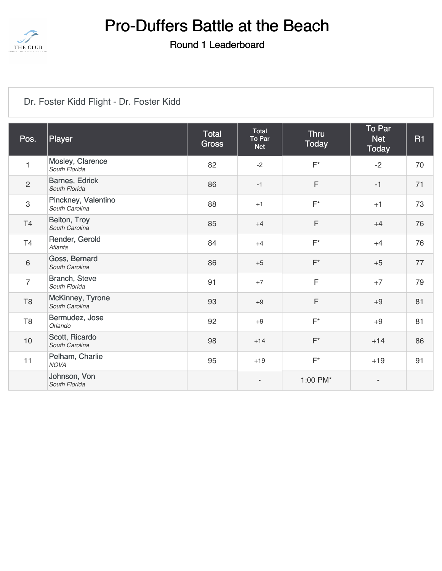

#### Round 1 Leaderboard

### [Dr. Foster Kidd Flight - Dr. Foster Kidd](https://static.golfgenius.com/v2tournaments/8462731872101733111?called_from=&round_index=1)

| Pos.           | Player                                | <b>Total</b><br><b>Gross</b> | Total<br>To Par<br><b>Net</b> | <b>Thru</b><br><b>Today</b> | To Par<br><b>Net</b><br><b>Today</b> | <b>R1</b> |
|----------------|---------------------------------------|------------------------------|-------------------------------|-----------------------------|--------------------------------------|-----------|
| $\mathbf{1}$   | Mosley, Clarence<br>South Florida     | 82                           | $-2$                          | $F^*$                       | $-2$                                 | 70        |
| $\overline{2}$ | Barnes, Edrick<br>South Florida       | 86                           | $-1$                          | F                           | $-1$                                 | 71        |
| $\mathbf 3$    | Pinckney, Valentino<br>South Carolina | 88                           | $+1$                          | $F^*$                       | $+1$                                 | 73        |
| T <sub>4</sub> | Belton, Troy<br>South Carolina        | 85                           | $+4$                          | F                           | $+4$                                 | 76        |
| T <sub>4</sub> | Render, Gerold<br>Atlanta             | 84                           | $+4$                          | $F^*$                       | $+4$                                 | 76        |
| $\,6\,$        | Goss, Bernard<br>South Carolina       | 86                           | $+5$                          | $F^*$                       | $+5$                                 | 77        |
| $\overline{7}$ | Branch, Steve<br>South Florida        | 91                           | $+7$                          | F                           | $+7$                                 | 79        |
| T <sub>8</sub> | McKinney, Tyrone<br>South Carolina    | 93                           | $+9$                          | F                           | $+9$                                 | 81        |
| T <sub>8</sub> | Bermudez, Jose<br>Orlando             | 92                           | $+9$                          | $F^*$                       | $+9$                                 | 81        |
| 10             | Scott, Ricardo<br>South Carolina      | 98                           | $+14$                         | $F^*$                       | $+14$                                | 86        |
| 11             | Pelham, Charlie<br><b>NOVA</b>        | 95                           | $+19$                         | $F^*$                       | $+19$                                | 91        |
|                | Johnson, Von<br>South Florida         |                              | $\overline{\phantom{a}}$      | 1:00 PM*                    | $\overline{\phantom{a}}$             |           |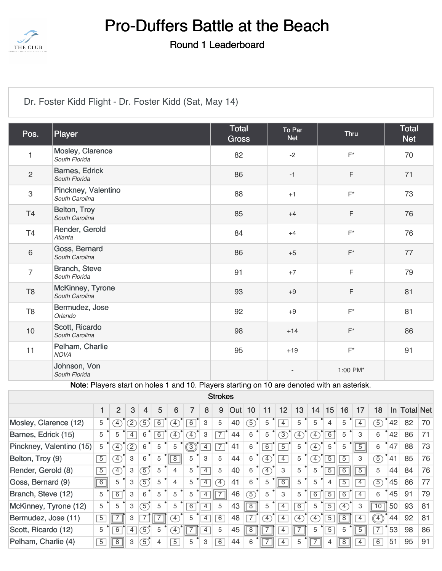

Round 1 Leaderboard

| Dr. Foster Kidd Flight - Dr. Foster Kidd (Sat, May 14) |  |  |
|--------------------------------------------------------|--|--|
|                                                        |  |  |

| Pos.           | Player                                                                                      | Total<br><b>Gross</b> | To Par<br><b>Net</b> | <b>Thru</b> | <b>Total</b><br><b>Net</b> |
|----------------|---------------------------------------------------------------------------------------------|-----------------------|----------------------|-------------|----------------------------|
| 1              | Mosley, Clarence<br>South Florida                                                           | 82                    | $-2$                 | $F^*$       | 70                         |
| $\overline{c}$ | Barnes, Edrick<br>South Florida                                                             | 86                    | $-1$                 | $\mathsf F$ | 71                         |
| 3              | Pinckney, Valentino<br>South Carolina                                                       | 88                    | $+1$                 | $F^*$       | 73                         |
| T4             | Belton, Troy<br>South Carolina                                                              | 85                    | $+4$                 | $\mathsf F$ | 76                         |
| T <sub>4</sub> | Render, Gerold<br>Atlanta                                                                   | 84                    | $+4$                 | $F^*$       | 76                         |
| $\,6\,$        | Goss, Bernard<br>South Carolina                                                             | 86                    | $+5$                 | $F^*$       | 77                         |
| $\overline{7}$ | <b>Branch, Steve</b><br>South Florida                                                       | 91                    | $+7$                 | $\mathsf F$ | 79                         |
| $\mathsf{T}8$  | McKinney, Tyrone<br>South Carolina                                                          | 93                    | $+9$                 | $\mathsf F$ | 81                         |
| T <sub>8</sub> | Bermudez, Jose<br>Orlando                                                                   | 92                    | $+9$                 | $F^*$       | 81                         |
| 10             | Scott, Ricardo<br>South Carolina                                                            | 98                    | $+14$                | $F^*$       | 86                         |
| 11             | Pelham, Charlie<br><b>NOVA</b>                                                              | 95                    | $+19$                | $F^*$       | 91                         |
|                | Johnson, Von<br>South Florida                                                               |                       |                      | 1:00 PM*    |                            |
|                | Note: Players start on holes 1 and 10. Players starting on 10 are denoted with an asterisk. |                       |                      |             |                            |

Strokes

|                          |                | $\overline{2}$ | 3                                                                                                              | 4               | 5 | 6              |                        | 8              | 9              | Out | 10             | 11                           | 12             | 13          | 14                | 15             | 16             | 17             | 18             | In. | <b>Total Net</b> |    |
|--------------------------|----------------|----------------|----------------------------------------------------------------------------------------------------------------|-----------------|---|----------------|------------------------|----------------|----------------|-----|----------------|------------------------------|----------------|-------------|-------------------|----------------|----------------|----------------|----------------|-----|------------------|----|
| Mosley, Clarence (12)    | 5              | $\tau$         | $\mathcal{D}% _{T}=\mathcal{D}_{T}\!\left( a,b\right) ,\ \mathcal{D}_{T}=\mathcal{D}_{T}\!\left( a,b\right) ,$ | 5               | 6 | $\mathcal{F}$  | $\overline{6}$         | 3              | 5              | 40  | $\overline{5}$ | 5                            | $\overline{4}$ | 5           | 5                 | 4              | 5              | $\overline{4}$ | 5              | 42  | 82               | 70 |
| Barnes, Edrick (15)      | 5              | 5              | $\overline{4}$                                                                                                 | 6               | 6 | $\tau$         | $\mathcal{F}$          | 3              | $\overline{7}$ | 44  | 6              | 5                            | 3              | $\tau$      | $\boxed{4}$       | 6              | 5              | 3              | 6              | 42  | 86               | 71 |
| Pinckney, Valentino (15) | 5              | F)             | $\mathcal{D}% _{T}=\mathcal{D}_{T}\!\left( a,b\right) ,\ \mathcal{D}_{T}=\mathcal{D}_{T}\!\left( a,b\right) ,$ | 6               | 5 | 5              | $\widehat{\mathbb{E}}$ | 4              | $\overline{7}$ | 41  | 6              | $6\overline{6}$              | $\overline{5}$ | 5           | $\mathcal{F}$     | 5              | 5              | $\overline{5}$ | 6              | 47  | 88               | 73 |
| Belton, Troy (9)         | $\overline{5}$ | $\boxed{4}$    | 3                                                                                                              | 6               | 5 | 8              | 5                      | 3              | 5              | 44  | 6              | $\left( 4\right)$            | $\overline{4}$ | 5           | $\mathcal{F}$     | $\overline{5}$ | $\overline{5}$ | 3              | $\overline{5}$ | 41  | 85               | 76 |
| Render, Gerold (8)       | $\overline{5}$ | $\overline{4}$ | 3                                                                                                              | $\sqrt{5}$      | 5 | 4              | 5                      | $\overline{4}$ | 5              | 40  | 6              | $\left( \overline{4}\right)$ | 3              | 5           | 5                 | 5              | 6              | $\overline{5}$ | 5              | 44  | 84               | 76 |
| Goss, Bernard (9)        | $\overline{6}$ | 5              | 3                                                                                                              | $\boxed{5}$     | 5 | 4              | 5                      | $\overline{4}$ | $\mathcal{I}$  | 41  | 6              | 5                            | 6              | 5           | 5                 | 4              | $\overline{5}$ | $\overline{4}$ | $\boxed{5}$    | 45  | 86               | 77 |
| Branch, Steve (12)       | 5              | 6              | 3                                                                                                              | 6               | 5 | 5              | 5                      | 4              |                | 46  | $\overline{5}$ | 5                            | 3              | 5           | 6                 | $\overline{5}$ | $\overline{6}$ | $\overline{4}$ | 6              | 45  | 91               | 79 |
| McKinney, Tyrone (12)    | 5              | 5              | 3                                                                                                              | $\mathfrak{D}'$ | 5 | 5              | 6                      | 4              | 5              | 43  | $\overline{8}$ | 5                            | 4              | 6           | 5                 | $\overline{5}$ | $\mathcal{I}$  | 3              | 10             | 50  | 93               | 81 |
| Bermudez, Jose (11)      | $\overline{5}$ |                | 3                                                                                                              | 7               |   | $\boxed{4}$    | 5                      | 4              | 6              | 48  |                | $\left(4\right)$             | $\overline{4}$ | $\boxed{4}$ | $\left( 4\right)$ | $\overline{5}$ | $\overline{8}$ | $\overline{4}$ | $\boxed{4}$    | 44  | 92               | 81 |
| Scott, Ricardo (12)      | 5              | $\overline{6}$ | $\overline{4}$                                                                                                 | $\sqrt{5}$      | 5 | $\sim$         |                        | $\overline{4}$ | 5              | 45  | $\overline{8}$ |                              | 4              |             | 5                 | $\overline{5}$ | 5              | $\overline{5}$ | $\overline{7}$ | 53  | 98               | 86 |
| Pelham, Charlie (4)      | $\overline{5}$ | $\overline{8}$ | 3                                                                                                              | $\sigma$        | 4 | $\overline{5}$ | 5                      | 3              | 6              | 44  | 6              | ⇁                            | $\overline{4}$ | 5           | $\overline{7}$    | 4              | $\overline{8}$ | $\overline{4}$ | $\overline{6}$ | 51  | 95               | 91 |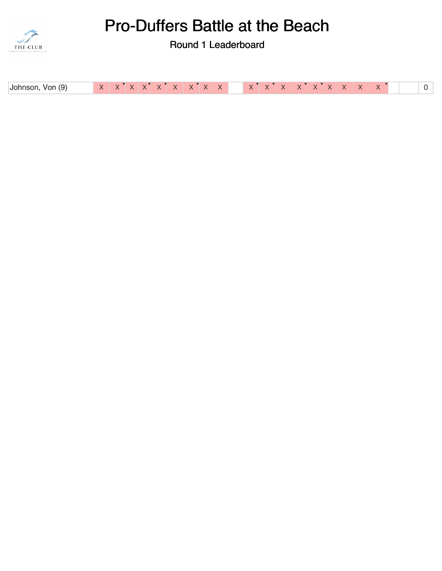

| Johnson, Von (9) |  |
|------------------|--|
|------------------|--|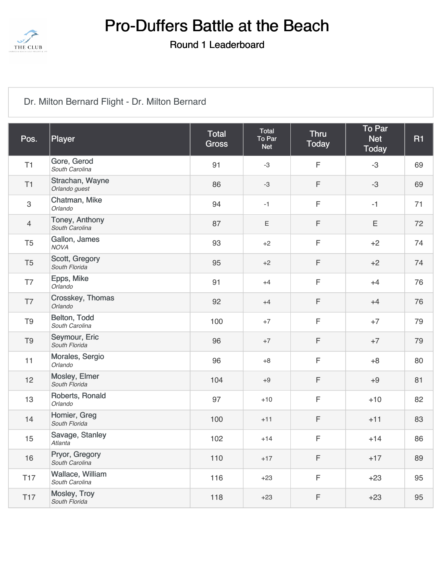

#### Round 1 Leaderboard

### [Dr. Milton Bernard Flight - Dr. Milton Bernard](https://static.golfgenius.com/v2tournaments/8462733498854150906?called_from=&round_index=1)

| Pos.           | Player                             | Total<br><b>Gross</b> | Total<br>To Par<br><b>Net</b> | <b>Thru</b><br><b>Today</b> | <b>To Par</b><br><b>Net</b><br><b>Today</b> | R1 |
|----------------|------------------------------------|-----------------------|-------------------------------|-----------------------------|---------------------------------------------|----|
| T1             | Gore, Gerod<br>South Carolina      | 91                    | $-3$                          | $\mathsf F$                 | $-3$                                        | 69 |
| T1             | Strachan, Wayne<br>Orlando guest   | 86                    | $-3$                          | F                           | $-3$                                        | 69 |
| $\,3$          | Chatman, Mike<br>Orlando           | 94                    | $-1$                          | $\mathsf F$                 | $-1$                                        | 71 |
| $\overline{4}$ | Toney, Anthony<br>South Carolina   | 87                    | Ε                             | F                           | Ε                                           | 72 |
| T <sub>5</sub> | Gallon, James<br><b>NOVA</b>       | 93                    | $+2$                          | $\mathsf F$                 | $+2$                                        | 74 |
| T <sub>5</sub> | Scott, Gregory<br>South Florida    | 95                    | $+2$                          | F                           | $+2$                                        | 74 |
| T7             | Epps, Mike<br>Orlando              | 91                    | $+4$                          | F                           | $+4$                                        | 76 |
| T7             | Crosskey, Thomas<br>Orlando        | 92                    | $+4$                          | F                           | $+4$                                        | 76 |
| T <sub>9</sub> | Belton, Todd<br>South Carolina     | 100                   | $+7$                          | F                           | $+7$                                        | 79 |
| T <sub>9</sub> | Seymour, Eric<br>South Florida     | 96                    | $+7$                          | F                           | $+7$                                        | 79 |
| 11             | Morales, Sergio<br>Orlando         | 96                    | $+8$                          | $\mathsf F$                 | $+8$                                        | 80 |
| 12             | Mosley, Elmer<br>South Florida     | 104                   | $+9$                          | F                           | $+9$                                        | 81 |
| 13             | Roberts, Ronald<br>Orlando         | 97                    | $+10$                         | $\mathsf F$                 | $+10$                                       | 82 |
| 14             | Homier, Greg<br>South Florida      | 100                   | $+11$                         | F                           | $+11$                                       | 83 |
| 15             | Savage, Stanley<br>Atlanta         | 102                   | $+14$                         | $\mathsf F$                 | $+14$                                       | 86 |
| 16             | Pryor, Gregory<br>South Carolina   | 110                   | $+17$                         | F                           | $+17$                                       | 89 |
| <b>T17</b>     | Wallace, William<br>South Carolina | 116                   | $+23$                         | F                           | $+23$                                       | 95 |
| <b>T17</b>     | Mosley, Troy<br>South Florida      | 118                   | $+23$                         | F                           | $+23$                                       | 95 |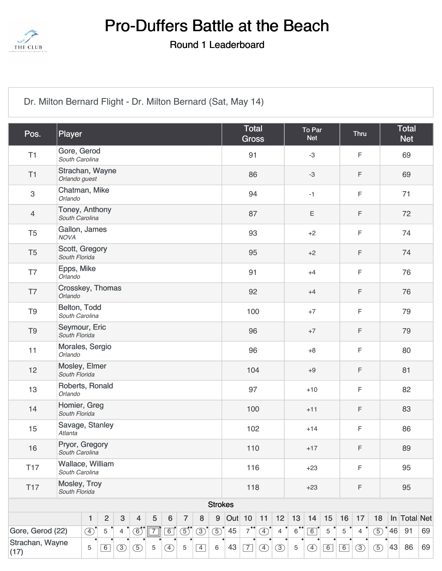

Round 1 Leaderboard

[Dr. Milton Bernard Flight - Dr. Milton Bernard \(Sat, May 14\)](https://static.golfgenius.com/v2tournaments/8462733502880682747?called_from=&round_index=1)

| Pos.                                                                                                          | Player                             |               |                |            |               |            |         |                |               |                |               | <b>Total</b><br><b>Gross</b> |               |                |                | To Par<br><b>Net</b> |             |             | <b>Thru</b>    |               | <b>Total</b><br><b>Net</b> |              |    |  |
|---------------------------------------------------------------------------------------------------------------|------------------------------------|---------------|----------------|------------|---------------|------------|---------|----------------|---------------|----------------|---------------|------------------------------|---------------|----------------|----------------|----------------------|-------------|-------------|----------------|---------------|----------------------------|--------------|----|--|
| T1                                                                                                            | Gore, Gerod<br>South Carolina      |               |                |            |               |            |         |                |               |                |               | 91                           |               |                |                | $-3$                 |             |             | $\mathsf F$    |               |                            | 69           |    |  |
| T1                                                                                                            | Strachan, Wayne<br>Orlando guest   |               |                |            |               |            |         |                |               |                |               | 86                           |               |                |                | $-3$                 |             |             | $\mathsf F$    |               |                            | 69           |    |  |
| $\sqrt{3}$                                                                                                    | Chatman, Mike<br>Orlando           |               |                |            |               |            |         |                |               |                |               | 94                           |               |                |                | $-1$                 |             |             | $\mathsf F$    |               |                            | 71           |    |  |
| $\overline{4}$                                                                                                | Toney, Anthony<br>South Carolina   |               |                |            |               |            |         |                |               |                |               | 87                           |               |                |                | Ε                    |             |             | $\mathsf F$    |               |                            | 72           |    |  |
| T <sub>5</sub>                                                                                                | Gallon, James<br><b>NOVA</b>       |               |                |            |               |            |         |                |               |                |               | 93                           |               |                |                | $+2$                 |             |             | $\mathsf F$    |               |                            | 74           |    |  |
| T <sub>5</sub>                                                                                                | Scott, Gregory<br>South Florida    |               |                |            |               |            |         |                |               |                |               | 95                           |               |                |                | $+2$                 |             |             | $\mathsf F$    |               | 74                         |              |    |  |
| T7                                                                                                            | Epps, Mike<br>Orlando              |               |                |            |               |            |         |                |               |                |               | 91                           |               |                |                | $+4$                 |             |             | $\mathsf F$    |               | 76                         |              |    |  |
| T7                                                                                                            | Crosskey, Thomas<br>Orlando        |               |                |            |               |            |         |                |               |                | 92<br>$+4$    |                              |               |                |                |                      |             |             | $\mathsf F$    |               |                            | 76           |    |  |
| T <sub>9</sub>                                                                                                | Belton, Todd<br>South Carolina     |               |                |            |               |            |         |                |               |                | 100           |                              |               |                |                | $+7$                 |             |             | $\mathsf F$    |               |                            | 79           |    |  |
| T <sub>9</sub>                                                                                                | Seymour, Eric<br>South Florida     |               |                |            |               |            |         |                |               |                | 96<br>$+7$    |                              |               |                |                |                      |             | $\mathsf F$ |                |               | 79                         |              |    |  |
| 11                                                                                                            | Morales, Sergio<br>Orlando         |               |                |            |               |            |         |                |               |                | 96<br>$+8$    |                              |               |                |                |                      |             | $\mathsf F$ |                |               | 80                         |              |    |  |
| 12                                                                                                            | Mosley, Elmer<br>South Florida     |               |                |            |               |            |         |                |               |                |               | 104                          |               |                |                | $+9$                 |             |             | $\mathsf F$    |               |                            | 81           |    |  |
| 13                                                                                                            | Roberts, Ronald<br>Orlando         |               |                |            |               |            |         |                |               |                | 97            |                              |               |                |                | $+10$                |             | $\mathsf F$ |                |               |                            | 82           |    |  |
| 14                                                                                                            | Homier, Greg<br>South Florida      |               |                |            |               |            |         |                |               |                |               | 100                          |               |                |                | $+11$                |             |             | $\mathsf F$    |               |                            | 83           |    |  |
| 15                                                                                                            | Savage, Stanley<br>Atlanta         |               |                |            |               |            |         |                |               |                |               | 102                          |               |                |                | $+14$                |             |             | $\mathsf F$    |               |                            | 86           |    |  |
| 16                                                                                                            | Pryor, Gregory<br>South Carolina   |               |                |            |               |            |         |                |               |                |               | 110                          |               |                |                | $+17$                |             |             | F              |               |                            | 89           |    |  |
| <b>T17</b>                                                                                                    | Wallace, William<br>South Carolina |               |                |            |               |            |         |                |               | 116            |               |                              |               |                |                | $+23$                |             |             | $\mathsf F$    |               |                            | 95           |    |  |
| Mosley, Troy<br><b>T17</b><br>South Florida                                                                   |                                    |               |                |            |               |            |         |                |               |                | 118           |                              |               |                |                | $+23$                |             |             | F              |               |                            | 95           |    |  |
|                                                                                                               |                                    |               |                |            |               |            |         |                |               | <b>Strokes</b> |               |                              |               |                |                |                      |             |             |                |               |                            |              |    |  |
|                                                                                                               |                                    | $\mathbf{1}$  | $\overline{2}$ | $\sqrt{3}$ | 4             | 5          | $\bf 6$ | $\overline{7}$ | 8             | 9              | <b>Out</b> 10 |                              | 11            | 12             | 13             | 14                   | 15          | 16          | 17             | 18            |                            | In Total Net |    |  |
| Gore, Gerod (22)                                                                                              |                                    | $\circled{4}$ | 5              | 4          | $\circled{6}$ | $\sqrt{7}$ | 6       | $\circledS$    | $\circled{3}$ | $\circled{5}$  | 45            | $7^{\bullet\bullet}$         | $\circled{4}$ | $\overline{4}$ | $\overline{6}$ | $\boxed{6}$          | $\sqrt{5}$  | $\,$ 5 $\,$ | $\overline{4}$ | $\circled{5}$ | $^{\bullet}$ 46            | 91           | 69 |  |
| Strachan, Wayne<br>5<br>6<br>$\circled{3}$<br>(5)<br>5<br>$\left( \overline{4}\right)$<br>$\mathbf 5$<br>(17) |                                    |               |                |            |               |            |         | $\boxed{4}$    | 6             | 43             | $\boxed{7}$   | $\circled{4}$                | (3)           | $\mathbf 5$    | (4)            | $\boxed{6}$          | $\boxed{6}$ | (3)         | $\circled{5}$  | 43            | 86                         | 69           |    |  |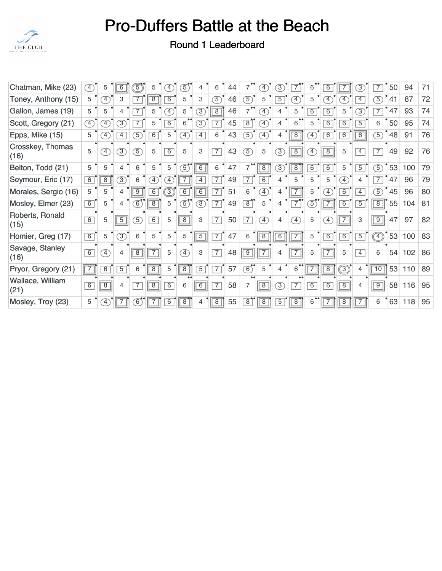

| Chatman, Mike (23)       | $\left( 4\right)$         | 5                            | 6              | $\boxed{5}$    | 5                            | $\left( 4\right)$ | $\boxed{5}$                  | 4              | 6              | 44 | 7                       | $\left( \overline{4}\right)$ | 3)              | 7                            | 6                            | 6              |                | $\circled{3}$  | 7                      | 50 | 94  | 71 |
|--------------------------|---------------------------|------------------------------|----------------|----------------|------------------------------|-------------------|------------------------------|----------------|----------------|----|-------------------------|------------------------------|-----------------|------------------------------|------------------------------|----------------|----------------|----------------|------------------------|----|-----|----|
| Toney, Anthony (15)      | 5                         | $\left( \overline{4}\right)$ | 3              | 7              | $\overline{8}$               | $\overline{6}$    | 5                            | 3              | $\circledS$    | 46 | $\overline{5}$          | 5                            | $\overline{5}$  | $\left( \overline{4}\right)$ | 5                            | $\boxed{4}$    | $\boxed{4}$    | $\overline{4}$ | $\mathcal{F}$          | 41 | 87  | 72 |
| Gallon, James (19)       | 5                         | 5                            | 4              | $\overline{7}$ | 5                            | $\boxed{4}$       | 5                            | 3)             | $\sqrt{8}$     | 46 | 7                       | $\left( \overline{4}\right)$ | 4               | 5                            | $\overline{6}$               | 6              | 5              | $\circled{3}$  | $\overline{7}$         | 47 | 93  | 74 |
| Scott, Gregory (21)      | F)                        | $\left(4\right)$             | 3)             | 7              | 5                            | 6                 | 6                            | 3)             | 7              | 45 | $\overline{8}$          | $\ket{4}$                    | 4               | 6                            | 5                            | 6              | 6              | $\overline{5}$ | 6                      | 50 | 95  | 74 |
| Epps, Mike (15)          | 5                         | $\left(4\right)$             | 4              | 5              | 6                            | 5                 | $\boxed{4}$                  | $\overline{4}$ | 6              | 43 | $\circ$                 | $\mathcal{F}$                | 4               | 8                            | $\left( 4\right)$            | 6              | $\overline{6}$ | 6              | 5                      | 48 | 91  | 76 |
| Crosskey, Thomas<br>(16) | 5                         | $\mathcal{F}$                | $\circled{3}$  | 5              | 5                            | 6                 | 5                            | 3              | $\overline{7}$ | 43 | $\overline{5}$          | 5                            | $\circled{3}$   | $\boxed{8}$                  | $\left( \overline{4}\right)$ | $\overline{8}$ | 5              | $\overline{4}$ | $\overline{7}$         | 49 | 92  | 76 |
| Belton, Todd (21)        | 5                         | 5                            | 4              | 6              | 5                            | 5                 | $\mathcal{F}'$               | 6              | 6              | 47 | $7^{\bullet\bullet}$    | $\overline{8}$               | $\circled{3}$   | $\sqrt{8}$                   | $\overline{6}$               | 6              | 5              | $\overline{5}$ | $\overline{5}$         | 53 | 100 | 79 |
| Seymour, Eric (17)       | $\overline{6}$            | $\overline{8}$               | $\circled{3}$  | 6              | $\left( \overline{4}\right)$ | $\boxed{4}$       |                              | $\overline{4}$ | $\overline{7}$ | 49 | $\overline{7}$          | $\overline{6}$               | 4               | 5                            | 5                            | 5              | $\boxed{4}$    | 4              | $\overline{7}$         | 47 | 96  | 79 |
| Morales, Sergio (16)     | 5                         | 5                            | 4              | 9              | $6\overline{6}$              | $\boxed{3}$       | 6                            | 6              | $\overline{7}$ | 51 | 6                       | $\left( \overline{4}\right)$ | 4               |                              | 5                            | $\boxed{4}$    | $\overline{6}$ | $\overline{4}$ | $\boxed{5}$            | 45 | 96  | 80 |
| Mosley, Elmer (23)       | $\overline{6}$            | 5                            | 4              | 6              | $\overline{8}$               | 5                 | $\boxed{5}$                  | 3)             | $\overline{7}$ | 49 | $\overline{8}$          | 5                            | 4               | $\overline{7}$               | $\boxed{5}$                  | 7              | $\overline{6}$ | $\overline{5}$ | $\boxed{8}$            | 55 | 104 | 81 |
| Roberts, Ronald<br>(15)  | 6                         | 5                            | $\boxed{5}$    | 5)             | 6                            | 5                 | $\overline{8}$               | 3              | $\overline{7}$ | 50 | $\overline{7}$          | $\left( \overline{4}\right)$ | 4               | $\boxed{4}$                  | 5                            | $\boxed{4}$    | $\overline{7}$ | 3              | $\boxed{9}$            | 47 | 97  | 82 |
| Homier, Greg (17)        | 6                         | 5                            | $\overline{3}$ | 6              | 5                            | 5                 | 5                            | $\overline{5}$ | $\overline{7}$ | 47 | 6                       | $\overline{8}$               | $6\overline{6}$ |                              | 5                            | 6              | $\overline{6}$ | $\overline{5}$ | $\widehat{\ket{\Phi}}$ | 53 | 100 | 83 |
| Savage, Stanley<br>(16)  | 6                         | $\mathcal{L}$                | 4              | 8              |                              | 5                 | $\left( \overline{4}\right)$ | 3              | $\overline{7}$ | 48 | $\overline{9}$          | $\overline{7}$               | 4               | $\boxed{7}$                  | 5                            | $\overline{7}$ | 5              | $\overline{4}$ | 6                      | 54 | 102 | 86 |
| Pryor, Gregory (21)      | $\overline{\mathsf{T}^7}$ | 6                            | $\overline{5}$ | 6              | $\overline{8}$               | 5                 | $\overline{8}$               | $\overline{5}$ | $\overline{7}$ | 57 | $\overline{\textbf{6}}$ | 5                            | 4               | 6                            |                              | $\overline{8}$ | ි              | 4              | 10                     | 53 | 110 | 89 |
| Wallace, William<br>(21) | 6                         | $\overline{8}$               | 4              | $\overline{7}$ | $\overline{8}$               | 6                 | 6                            | 6              | $\overline{7}$ | 58 | $\overline{7}$          | $\boxed{8}$                  | 3)              | $\overline{7}$               | 6                            | $\overline{6}$ | $\overline{8}$ | $\overline{4}$ | $(\widehat{9})$        | 58 | 116 | 95 |
| Mosley, Troy (23)        | 5                         | $\left( \frac{1}{2} \right)$ | 7              | 6              |                              | 6                 | $\overline{8}$               | 4              | $\sqrt{8}$     | 55 | $\overline{8}$          | $\overline{8}$               | 5               | $\lceil 8 \rceil$            | 6                            | 7              | 8              |                | 6                      | 63 | 118 | 95 |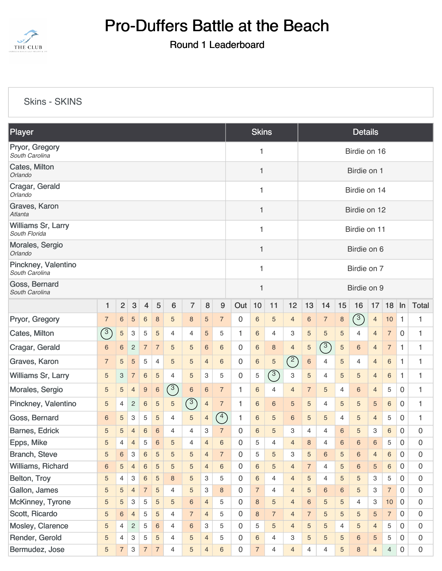

Round 1 Leaderboard

[Skins - SKINS](https://static.golfgenius.com/v2tournaments/8474809583607485037?called_from=&round_index=1)

| Player                                |                |                |                           |                |                  |                |                 |                 |                  | <b>Skins</b>        |                |                | <b>Details</b> |                 |                |                |                |                |                |                     |                  |  |  |  |
|---------------------------------------|----------------|----------------|---------------------------|----------------|------------------|----------------|-----------------|-----------------|------------------|---------------------|----------------|----------------|----------------|-----------------|----------------|----------------|----------------|----------------|----------------|---------------------|------------------|--|--|--|
| Pryor, Gregory<br>South Carolina      |                |                |                           |                |                  |                |                 |                 |                  |                     | 1              |                |                | Birdie on 16    |                |                |                |                |                |                     |                  |  |  |  |
| Cates, Milton<br>Orlando              |                |                |                           |                |                  |                |                 |                 |                  |                     | 1              |                |                | Birdie on 1     |                |                |                |                |                |                     |                  |  |  |  |
| Cragar, Gerald<br>Orlando             |                |                |                           |                |                  |                |                 |                 |                  |                     |                |                |                | Birdie on 14    |                |                |                |                |                |                     |                  |  |  |  |
| Graves, Karon<br>Atlanta              |                |                |                           |                |                  |                |                 |                 |                  |                     |                |                |                | Birdie on 12    |                |                |                |                |                |                     |                  |  |  |  |
| Williams Sr, Larry<br>South Florida   |                |                |                           |                |                  |                |                 |                 |                  |                     |                |                |                | Birdie on 11    |                |                |                |                |                |                     |                  |  |  |  |
| Morales, Sergio<br>Orlando            |                |                |                           |                |                  |                |                 |                 |                  |                     |                |                |                | Birdie on 6     |                |                |                |                |                |                     |                  |  |  |  |
| Pinckney, Valentino<br>South Carolina |                |                |                           |                |                  |                |                 |                 |                  |                     | 1              |                |                | Birdie on 7     |                |                |                |                |                |                     |                  |  |  |  |
| Goss, Bernard<br>South Carolina       |                |                |                           |                |                  |                |                 |                 |                  |                     | 1              |                |                |                 |                | Birdie on 9    |                |                |                |                     |                  |  |  |  |
|                                       | 1              | $\overline{c}$ | $\ensuremath{\mathsf{3}}$ | $\overline{4}$ | 5                | 6              | $\overline{7}$  | 8               | $\boldsymbol{9}$ | Out                 | 10             | 11             | 12             | 13              | 14             | 15             | 16             | 17             | 18             | ln                  | <b>Total</b>     |  |  |  |
| Pryor, Gregory                        | $\overline{7}$ | $\,6\,$        | $\sqrt{5}$                | 6              | $\boldsymbol{8}$ | 5              | 8               | 5               | $\overline{7}$   | 0                   | 6              | 5              | $\overline{4}$ | $6\phantom{.}6$ | $\overline{7}$ | $\,$ 8 $\,$    | $\sqrt{3}$     | $\overline{4}$ | 10             | $\mathbf{1}$        | 1                |  |  |  |
| Cates, Milton                         | $\sqrt{3}$     | $\sqrt{5}$     | 3                         | 5              | 5                | 4              | 4               | 5               | 5                | 1.                  | 6              | $\overline{4}$ | 3              | 5               | 5              | 5              | $\overline{4}$ | $\overline{4}$ | $\overline{7}$ | 0                   | 1                |  |  |  |
| Cragar, Gerald                        | 6              | 6              | $\overline{c}$            | $\overline{7}$ | $\overline{7}$   | 5              | 5               | 6               | 6                | 0                   | 6              | 8              | 4              | 5               | (3)            | 5              | 6              | 4              | $\overline{7}$ | 1                   | 1                |  |  |  |
| Graves, Karon                         | $\overline{7}$ | $\sqrt{5}$     | $\sqrt{5}$                | 5              | $\overline{4}$   | 5              | $\sqrt{5}$      | 4               | 6                | 0                   | 6              | $\sqrt{5}$     | $\binom{2}{ }$ | 6               | 4              | 5              | 4              | $\overline{4}$ | 6              | 1                   | 1                |  |  |  |
| Williams Sr, Larry                    | 5              | 3              | $\overline{7}$            | $\,6$          | 5                | 4              | $\sqrt{5}$      | 3               | 5                | 0                   | 5              | $\binom{3}{ }$ | 3              | 5               | 4              | 5              | 5              | $\overline{4}$ | 6              | 1                   | 1                |  |  |  |
| Morales, Sergio                       | 5              | 5              | $\overline{4}$            | 9              | $6\phantom{1}6$  | $\sqrt{3}$     | $\,$ 6 $\,$     | $6\phantom{1}6$ | $\overline{7}$   | 1                   | 6              | $\overline{4}$ | 4              | $\overline{7}$  | 5              | 4              | 6              | $\overline{4}$ | 5              | 0                   | 1                |  |  |  |
| Pinckney, Valentino                   | 5              | 4              | $\overline{c}$            | 6              | $\sqrt{5}$       | 5              | $\sqrt{3}$      | $\overline{4}$  | $\sqrt{ }$       | 1                   | 6              | 6              | 5              | 5               | 4              | 5              | 5              | 5              | 6              | 0                   | 1                |  |  |  |
| Goss, Bernard                         | 6              | 5              | 3                         | 5              | 5                | 4              | $\sqrt{5}$      | 4               | $\binom{4}{ }$   | 1                   | 6              | 5              | 6              | 5               | 5              | 4              | 5              | 4              | 5              | 0                   | 1                |  |  |  |
| Barnes, Edrick                        | 5              | 5              | 4                         | 6              | $6\phantom{1}6$  | 4              | 4               | 3               | $\overline{7}$   | 0                   | 6              | 5              | 3              | 4               | 4              | 6              | 5              | 3              | 6              | 0                   | 0                |  |  |  |
| Epps, Mike                            | 5              | 4              | $\overline{4}$            | 5              | 6                | 5              | 4               | $\overline{4}$  | 6                | 0                   | 5              | 4              | $\overline{4}$ | 8               | 4              | 6              | 6              | 6              | 5              | $\Omega$            | 0                |  |  |  |
| <b>Branch, Steve</b>                  | $\sqrt{5}$     | $\,6\,$        | 3                         | $\,6$          | 5                | 5              | $\sqrt{5}$      | $\overline{4}$  | $\overline{7}$   | 0                   | 5              | 5              | 3              | 5               | $\,6\,$        | $\sqrt{5}$     | $\,6\,$        | $\overline{4}$ | $\,6\,$        | $\overline{0}$      | $\boldsymbol{0}$ |  |  |  |
| Williams, Richard                     | $\,$ 6 $\,$    | 5              | $\overline{4}$            | $\,6$          | $\sqrt{5}$       | 5              | $\sqrt{5}$      | $\overline{4}$  | 6                | 0                   | 6              | $\overline{5}$ | $\overline{4}$ | $\overline{7}$  | 4              | 5              | $\,6\,$        | 5              | $6\phantom{.}$ | $\mathbf 0$         | $\overline{0}$   |  |  |  |
| Belton, Troy                          | 5              | 4              | 3                         | 6              | $\sqrt{5}$       | 8              | $\sqrt{5}$      | 3               | 5                | $\overline{0}$      | 6              | $\overline{4}$ | $\overline{4}$ | 5               | 4              | 5              | 5              | 3              | 5              | $\mathbf 0$         | $\overline{0}$   |  |  |  |
| Gallon, James                         | 5              | 5              | $\overline{4}$            | $\overline{7}$ | $\sqrt{5}$       | 4              | $\sqrt{5}$      | 3               | $\,8\,$          | 0                   | $\overline{7}$ | $\overline{4}$ | $\overline{4}$ | 5               | $\,6\,$        | $\,6$          | $\overline{5}$ | 3              | $\overline{7}$ | $\overline{0}$      | $\boldsymbol{0}$ |  |  |  |
| McKinney, Tyrone                      | 5              | $\sqrt{5}$     | 3                         | 5              | $\sqrt{5}$       | 5              | $\,6$           | $\overline{4}$  | 5                | $\overline{0}$      | 8              | $\overline{5}$ | $\overline{4}$ | $6\phantom{1}$  | 5              | 5              | 4              | 3              | 10             | $\mathbf 0$         | $\boldsymbol{0}$ |  |  |  |
| Scott, Ricardo                        | 5              | $\,6$          | $\overline{4}$            | 5              | 5                | $\overline{4}$ | $\overline{7}$  | $\overline{4}$  | 5                | 0                   | 8              | $\overline{7}$ | $\overline{4}$ | $\overline{7}$  | 5              | 5              | $\sqrt{5}$     | 5              | $\overline{7}$ | $\mathbf 0$         | $\mathbf 0$      |  |  |  |
| Mosley, Clarence                      | 5              | 4              | $\overline{c}$            | 5              | 6                | 4              | $6\phantom{.}6$ | 3               | 5                | 0                   | 5              | 5              | $\overline{4}$ | 5               | 5              | $\overline{4}$ | $\sqrt{5}$     | $\overline{4}$ | 5              | $\mathbf 0$         | $\overline{0}$   |  |  |  |
| Render, Gerold                        | 5              | $\overline{4}$ | 3                         | 5              | $\sqrt{5}$       | 4              | $\sqrt{5}$      | $\overline{4}$  | 5                | 0                   | 6              | $\overline{4}$ | 3              | 5               | 5              | 5              | $\,6$          | 5              | 5              | $\mathbf 0$         | $\boldsymbol{0}$ |  |  |  |
| Bermudez, Jose                        | 5              | $\overline{7}$ | $\,$ 3 $\,$               | $\overline{7}$ | $\overline{7}$   | $\overline{4}$ | $\sqrt{5}$      | $\overline{4}$  | $\,6\,$          | $\mathsf{O}\xspace$ | $\overline{7}$ | $\overline{4}$ | $\overline{4}$ | $\overline{4}$  | 4              | 5              | $\bf 8$        | $\overline{4}$ | $\overline{4}$ | $\mathsf{O}\xspace$ | $\boldsymbol{0}$ |  |  |  |